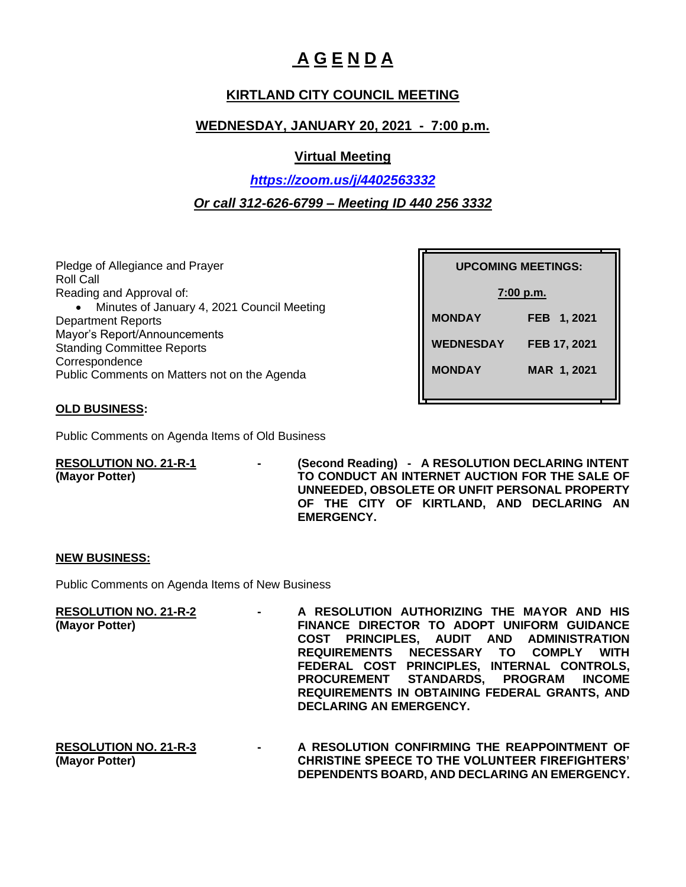# **A G E N D A**

# **KIRTLAND CITY COUNCIL MEETING**

## **WEDNESDAY, JANUARY 20, 2021 - 7:00 p.m.**

### **Virtual Meeting**

# *<https://zoom.us/j/4402563332> Or call 312-626-6799 – Meeting ID 440 256 3332*

Pledge of Allegiance and Prayer Roll Call Reading and Approval of: • Minutes of January 4, 2021 Council Meeting Department Reports Mayor's Report/Announcements Standing Committee Reports Correspondence Public Comments on Matters not on the Agenda

| <b>UPCOMING MEETINGS:</b> |              |  |
|---------------------------|--------------|--|
| $7:00$ p.m.               |              |  |
| <b>MONDAY</b>             | FEB 1, 2021  |  |
| <b>WEDNESDAY</b>          | FEB 17, 2021 |  |
| <b>MONDAY</b>             | MAR 1, 2021  |  |
|                           |              |  |

### **OLD BUSINESS:**

Public Comments on Agenda Items of Old Business

**RESOLUTION NO. 21-R-1 - (Second Reading) - A RESOLUTION DECLARING INTENT (Mayor Potter) TO CONDUCT AN INTERNET AUCTION FOR THE SALE OF UNNEEDED, OBSOLETE OR UNFIT PERSONAL PROPERTY OF THE CITY OF KIRTLAND, AND DECLARING AN EMERGENCY.**

#### **NEW BUSINESS:**

Public Comments on Agenda Items of New Business

| $\mathbf{m}$ and $\mathbf{m}$ and $\mathbf{m}$ | A RESOLUTION AUTHORIZING THE MAYOR AND HIS    |
|------------------------------------------------|-----------------------------------------------|
|                                                | FINANCE DIRECTOR TO ADOPT UNIFORM GUIDANCE    |
|                                                | COST PRINCIPLES, AUDIT AND ADMINISTRATION     |
|                                                | REQUIREMENTS NECESSARY TO COMPLY WITH         |
|                                                | FEDERAL COST PRINCIPLES, INTERNAL CONTROLS,   |
|                                                | PROCUREMENT STANDARDS, PROGRAM INCOME         |
|                                                | REQUIREMENTS IN OBTAINING FEDERAL GRANTS, AND |
|                                                | DECLARING AN EMERGENCY.                       |
|                                                |                                               |

**RESOLUTION NO. 21-R-3 - A RESOLUTION CONFIRMING THE REAPPOINTMENT OF (Mayor Potter) CHRISTINE SPEECE TO THE VOLUNTEER FIREFIGHTERS' DEPENDENTS BOARD, AND DECLARING AN EMERGENCY.**